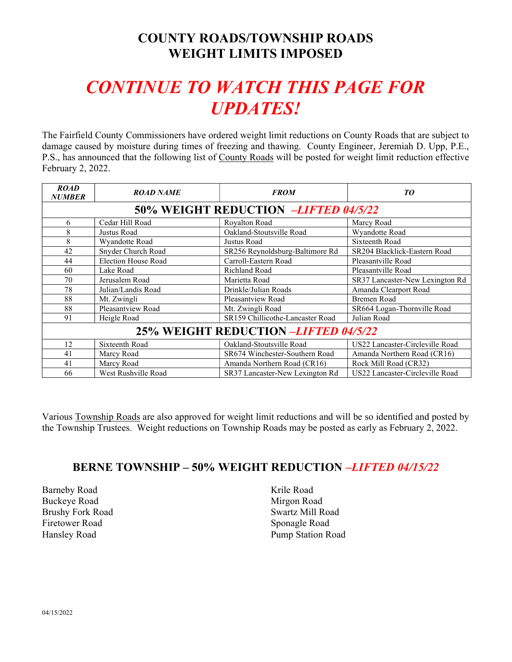## COUNTY ROADS/TOWNSHIP ROADS WEIGHT LIMITS IMPOSED

# CONTINUE TO WATCH THIS PAGE FOR UPDATES!

The Fairfield County Commissioners have ordered weight limit reductions on County Roads that are subject to damage caused by moisture during times of freezing and thawing. County Engineer, Jeremiah D. Upp, P.E., P.S., has announced that the following list of County Roads will be posted for weight limit reduction effective February 2, 2022.

| <b>ROAD</b><br><b>NUMBER</b>         | <b>ROAD NAME</b>    | <b>FROM</b>                      | TO                              |  |  |
|--------------------------------------|---------------------|----------------------------------|---------------------------------|--|--|
| 50% WEIGHT REDUCTION -LIFTED 04/5/22 |                     |                                  |                                 |  |  |
| 6                                    | Cedar Hill Road     | Royalton Road                    | Marcy Road                      |  |  |
| 8                                    | Justus Road         | Oakland-Stoutsville Road         | Wyandotte Road                  |  |  |
| 8                                    | Wyandotte Road      | Justus Road                      | Sixteenth Road                  |  |  |
| 42                                   | Snyder Church Road  | SR256 Reynoldsburg-Baltimore Rd  | SR204 Blacklick-Eastern Road    |  |  |
| 44                                   | Election House Road | Carroll-Eastern Road             | Pleasantville Road              |  |  |
| 60                                   | Lake Road           | Richland Road                    | Pleasantville Road              |  |  |
| 70                                   | Jerusalem Road      | Marietta Road                    | SR37 Lancaster-New Lexington Rd |  |  |
| 78                                   | Julian/Landis Road  | Drinkle/Julian Roads             | Amanda Clearport Road           |  |  |
| 88                                   | Mt. Zwingli         | Pleasantview Road                | <b>Bremen Road</b>              |  |  |
| 88                                   | Pleasantview Road   | Mt. Zwingli Road                 | SR664 Logan-Thornville Road     |  |  |
| 91                                   | Heigle Road         | SR159 Chillicothe-Lancaster Road | Julian Road                     |  |  |
| 25% WEIGHT REDUCTION -LIFTED 04/5/22 |                     |                                  |                                 |  |  |
| 12                                   | Sixteenth Road      | Oakland-Stoutsville Road         | US22 Lancaster-Circleville Road |  |  |
| 41                                   | Marcy Road          | SR674 Winchester-Southern Road   | Amanda Northern Road (CR16)     |  |  |
| 41                                   | Marcy Road          | Amanda Northern Road (CR16)      | Rock Mill Road (CR32)           |  |  |
| 66                                   | West Rushville Road | SR37 Lancaster-New Lexington Rd  | US22 Lancaster-Circleville Road |  |  |

Various Township Roads are also approved for weight limit reductions and will be so identified and posted by the Township Trustees. Weight reductions on Township Roads may be posted as early as February 2, 2022.

#### BERNE TOWNSHIP – 50% WEIGHT REDUCTION –LIFTED 04/15/22

Barneby Road Buckeye Road Brushy Fork Road Firetower Road Hansley Road

Krile Road Mirgon Road Swartz Mill Road Sponagle Road Pump Station Road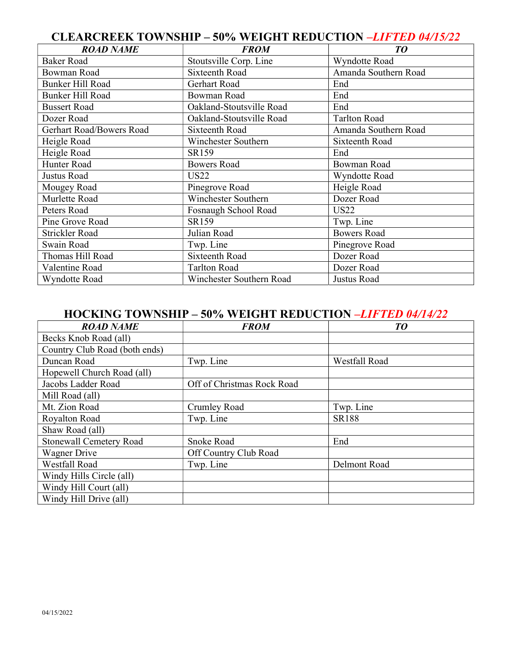#### CLEARCREEK TOWNSHIP – 50% WEIGHT REDUCTION –LIFTED 04/15/22

| <b>ROAD NAME</b>         | <b>FROM</b>              | TO                   |
|--------------------------|--------------------------|----------------------|
| <b>Baker Road</b>        | Stoutsville Corp. Line   | Wyndotte Road        |
| <b>Bowman Road</b>       | Sixteenth Road           | Amanda Southern Road |
| <b>Bunker Hill Road</b>  | Gerhart Road             | End                  |
| <b>Bunker Hill Road</b>  | <b>Bowman Road</b>       | End                  |
| <b>Bussert Road</b>      | Oakland-Stoutsville Road | End                  |
| Dozer Road               | Oakland-Stoutsville Road | <b>Tarlton Road</b>  |
| Gerhart Road/Bowers Road | Sixteenth Road           | Amanda Southern Road |
| Heigle Road              | Winchester Southern      | Sixteenth Road       |
| Heigle Road              | SR159                    | End                  |
| Hunter Road              | <b>Bowers Road</b>       | Bowman Road          |
| Justus Road              | <b>US22</b>              | Wyndotte Road        |
| Mougey Road              | Pinegrove Road           | Heigle Road          |
| Murlette Road            | Winchester Southern      | Dozer Road           |
| Peters Road              | Fosnaugh School Road     | <b>US22</b>          |
| Pine Grove Road          | SR159                    | Twp. Line            |
| Strickler Road           | Julian Road              | <b>Bowers Road</b>   |
| Swain Road               | Twp. Line                | Pinegrove Road       |
| Thomas Hill Road         | <b>Sixteenth Road</b>    | Dozer Road           |
| Valentine Road           | <b>Tarlton Road</b>      | Dozer Road           |
| Wyndotte Road            | Winchester Southern Road | Justus Road          |

#### HOCKING TOWNSHIP – 50% WEIGHT REDUCTION –LIFTED 04/14/22

| <b>ROAD NAME</b>               | <b>FROM</b>                | TO            |
|--------------------------------|----------------------------|---------------|
| Becks Knob Road (all)          |                            |               |
| Country Club Road (both ends)  |                            |               |
| Duncan Road                    | Twp. Line                  | Westfall Road |
| Hopewell Church Road (all)     |                            |               |
| Jacobs Ladder Road             | Off of Christmas Rock Road |               |
| Mill Road (all)                |                            |               |
| Mt. Zion Road                  | Crumley Road               | Twp. Line     |
| Royalton Road                  | Twp. Line                  | <b>SR188</b>  |
| Shaw Road (all)                |                            |               |
| <b>Stonewall Cemetery Road</b> | Snoke Road                 | End           |
| Wagner Drive                   | Off Country Club Road      |               |
| Westfall Road                  | Twp. Line                  | Delmont Road  |
| Windy Hills Circle (all)       |                            |               |
| Windy Hill Court (all)         |                            |               |
| Windy Hill Drive (all)         |                            |               |